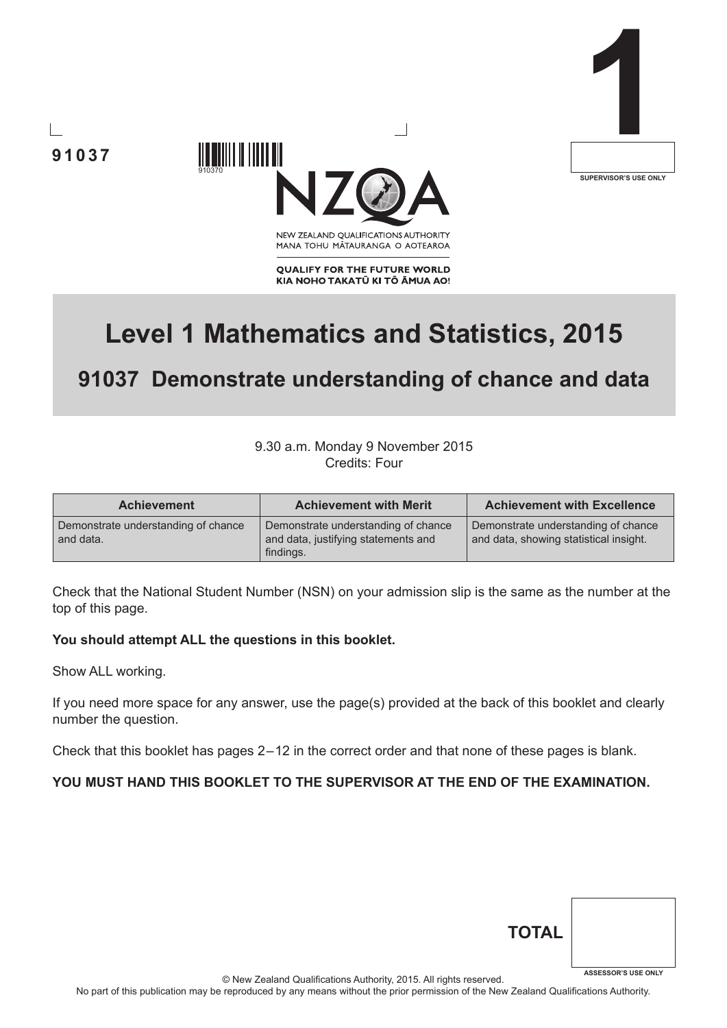





MANA TOHU MĀTAURANGA O AOTEAROA

**QUALIFY FOR THE FUTURE WORLD** KIA NOHO TAKATŪ KI TŌ ĀMUA AO!

# **Level 1 Mathematics and Statistics, 2015**

## **91037 Demonstrate understanding of chance and data**

#### 9.30 a.m. Monday 9 November 2015 Credits: Four

| <b>Achievement</b>                               | <b>Achievement with Merit</b>                                                           | <b>Achievement with Excellence</b>                                            |
|--------------------------------------------------|-----------------------------------------------------------------------------------------|-------------------------------------------------------------------------------|
| Demonstrate understanding of chance<br>and data. | Demonstrate understanding of chance<br>and data, justifying statements and<br>findings. | Demonstrate understanding of chance<br>and data, showing statistical insight. |

Check that the National Student Number (NSN) on your admission slip is the same as the number at the top of this page.

#### **You should attempt ALL the questions in this booklet.**

910370

Show ALL working.

If you need more space for any answer, use the page(s) provided at the back of this booklet and clearly number the question.

Check that this booklet has pages 2 – 12 in the correct order and that none of these pages is blank.

#### **YOU MUST HAND THIS BOOKLET TO THE SUPERVISOR AT THE END OF THE EXAMINATION.**

| <b>TOTAL</b> |                            |
|--------------|----------------------------|
|              | <b>ASSESSOR'S USE ONLY</b> |

© New Zealand Qualifications Authority, 2015. All rights reserved.

No part of this publication may be reproduced by any means without the prior permission of the New Zealand Qualifications Authority.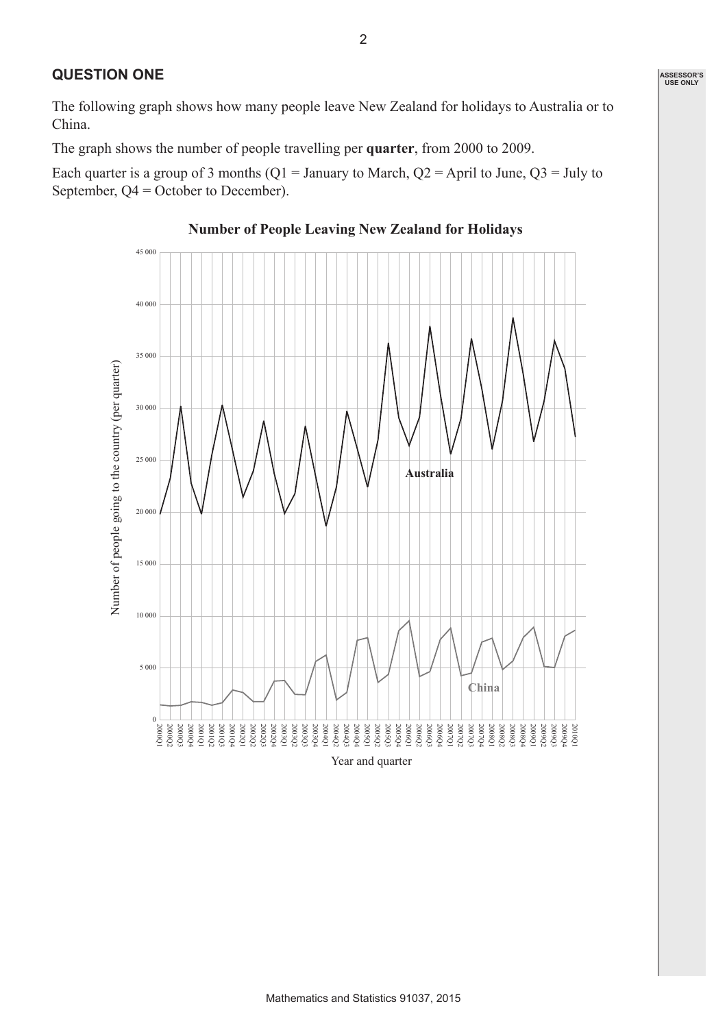#### **QUESTION ONE**

The following graph shows how many people leave New Zealand for holidays to Australia or to China.

The graph shows the number of people travelling per **quarter**, from 2000 to 2009.

Each quarter is a group of 3 months (Q1 = January to March, Q2 = April to June, Q3 = July to September, Q4 = October to December).



#### **Number of People Leaving New Zealand for Holidays**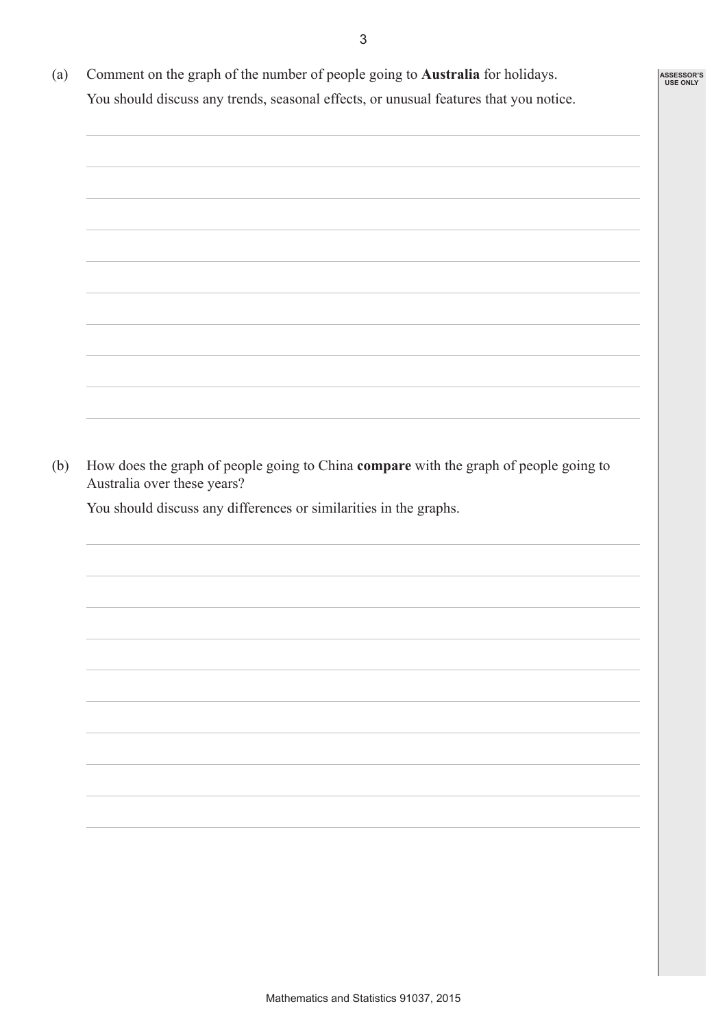3

**ASSESSOR'S USE ONLY**

(a) Comment on the graph of the number of people going to **Australia** for holidays. You should discuss any trends, seasonal effects, or unusual features that you notice.



(b) How does the graph of people going to China **compare** with the graph of people going to Australia over these years?

You should discuss any differences or similarities in the graphs.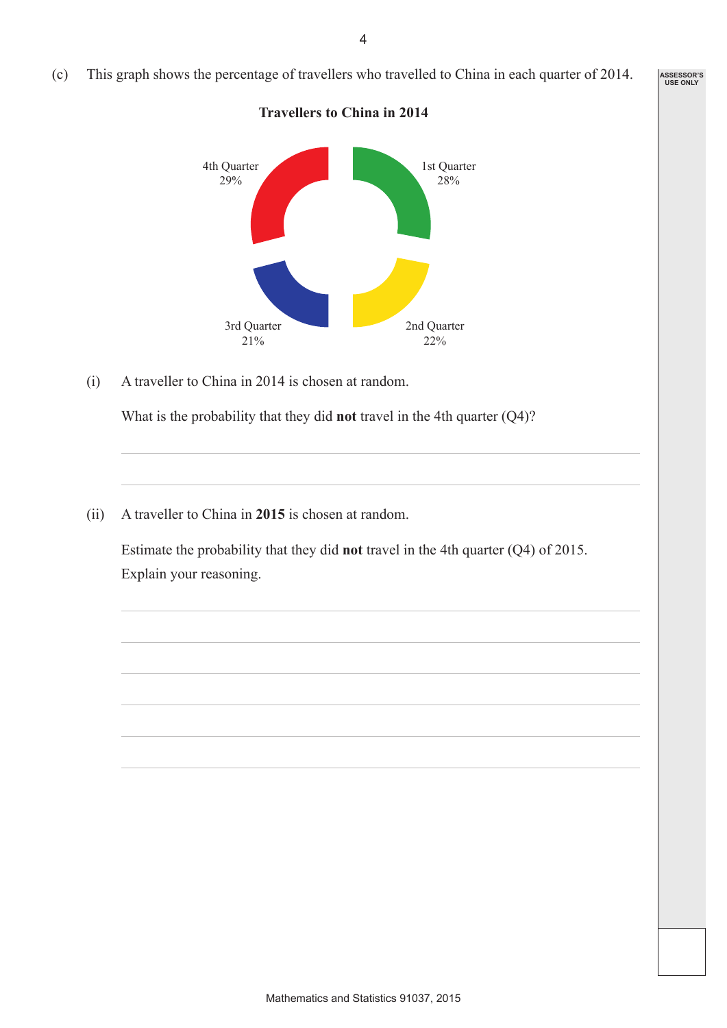(c) This graph shows the percentage of travellers who travelled to China in each quarter of 2014.

**Travellers to China in 2014**

1st Quarter 28% 4th Quarter 29% 2nd Quarter 22% 3rd Quarter 21%

(i) A traveller to China in 2014 is chosen at random.

What is the probability that they did **not** travel in the 4th quarter (Q4)?

(ii) A traveller to China in **2015** is chosen at random.

 Estimate the probability that they did **not** travel in the 4th quarter (Q4) of 2015. Explain your reasoning.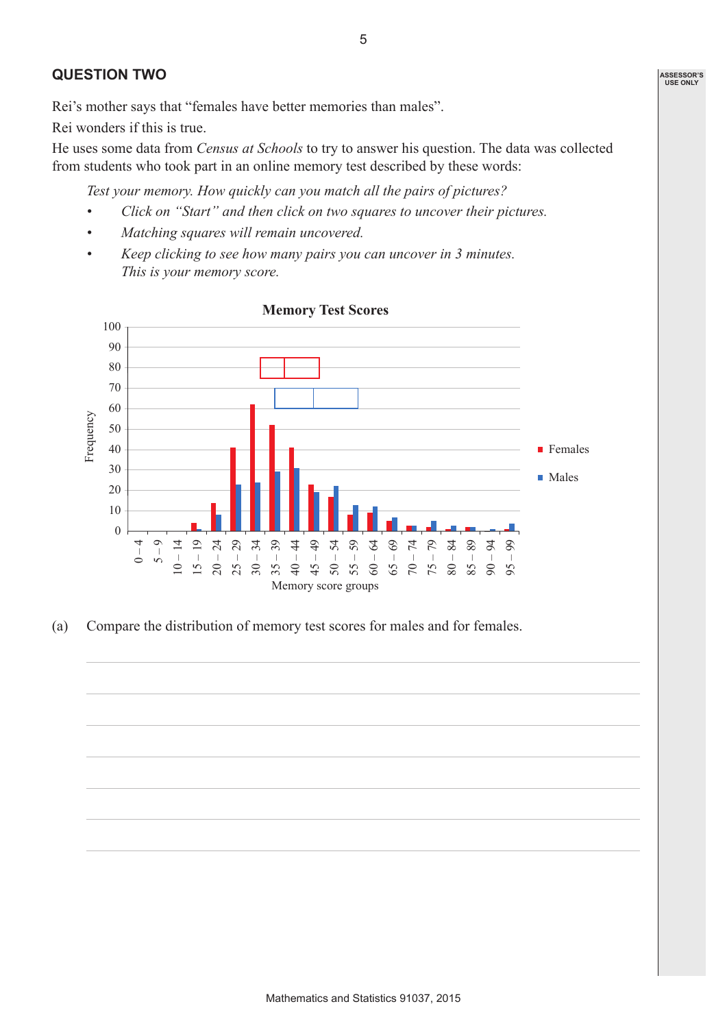#### **QUESTION TWO**

Rei's mother says that "females have better memories than males".

Rei wonders if this is true.

He uses some data from *Census at Schools* to try to answer his question. The data was collected from students who took part in an online memory test described by these words:

*Test your memory. How quickly can you match all the pairs of pictures?*

- *• Click on "Start" and then click on two squares to uncover their pictures.*
- *• Matching squares will remain uncovered.*
- *• Keep clicking to see how many pairs you can uncover in 3 minutes. This is your memory score.*



(a) Compare the distribution of memory test scores for males and for females.

5

**ASSESSOR'S USE ONLY**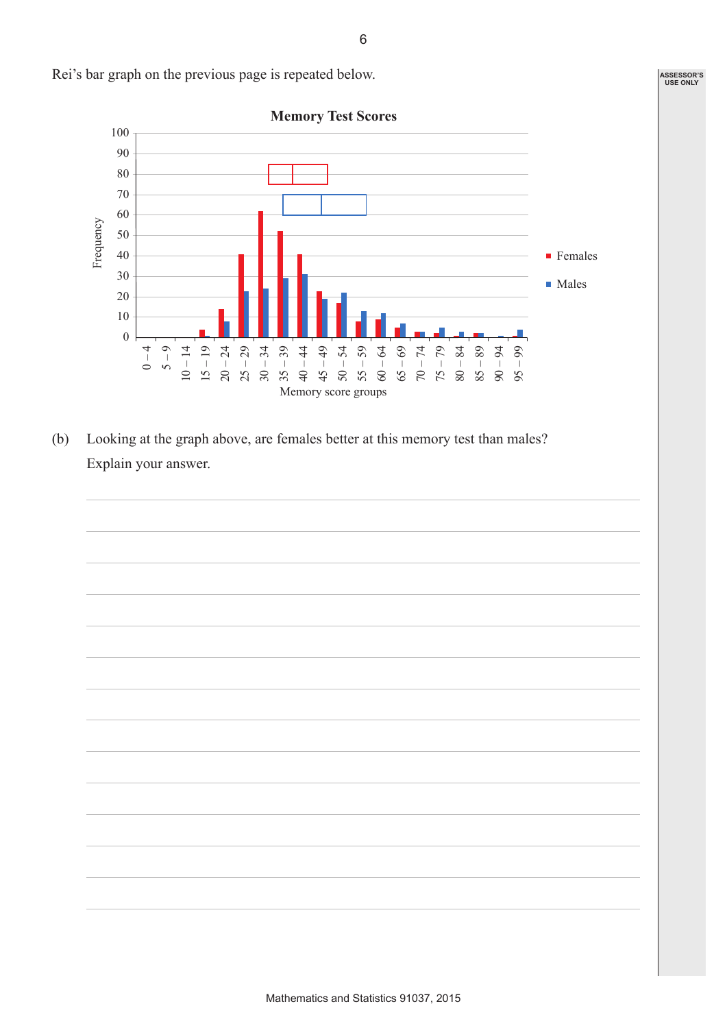

Rei's bar graph on the previous page is repeated below.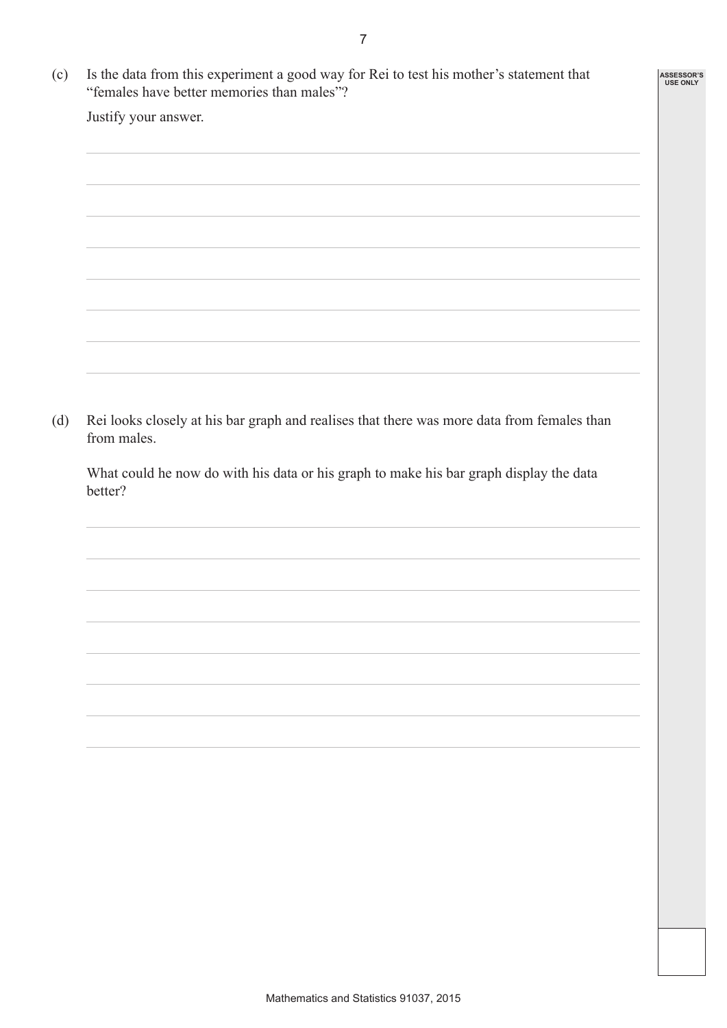**ASSESSOR'S USE ONLY**

| (c) Is the data from this experiment a good way for Rei to test his mother's statement that |
|---------------------------------------------------------------------------------------------|
| "females have better memories than males"?                                                  |

Justify your answer.

| (d) | Rei looks closely at his bar graph and realises that there was more data from females than |
|-----|--------------------------------------------------------------------------------------------|
|     | from males.                                                                                |

What could he now do with his data or his graph to make his bar graph display the data better?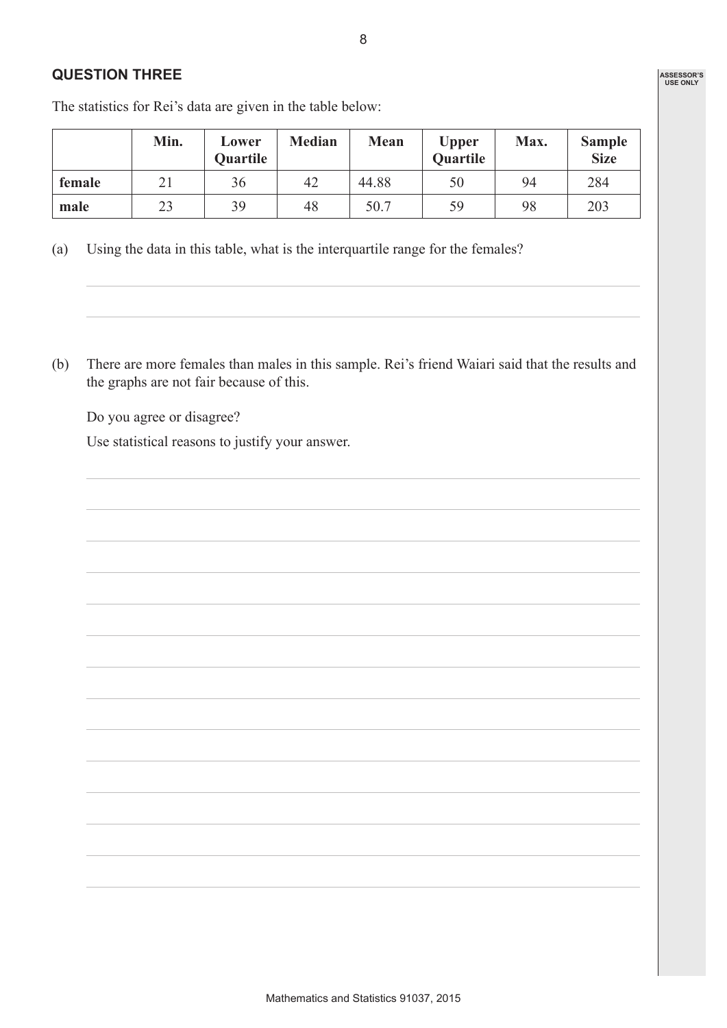### **QUESTION THREE**

|        | Min. | Lower<br><b>Quartile</b> | <b>Median</b> | Mean  | <b>Upper</b><br><b>Quartile</b> | Max. | <b>Sample</b><br><b>Size</b> |
|--------|------|--------------------------|---------------|-------|---------------------------------|------|------------------------------|
| female | 21   | 36                       | 42            | 44.88 | 50                              | 94   | 284                          |
| male   | 23   | 39                       | 48            | 50.7  | 59                              | 98   | 203                          |

8

The statistics for Rei's data are given in the table below:

- (a) Using the data in this table, what is the interquartile range for the females?
- (b) There are more females than males in this sample. Rei's friend Waiari said that the results and the graphs are not fair because of this.

Do you agree or disagree?

Use statistical reasons to justify your answer.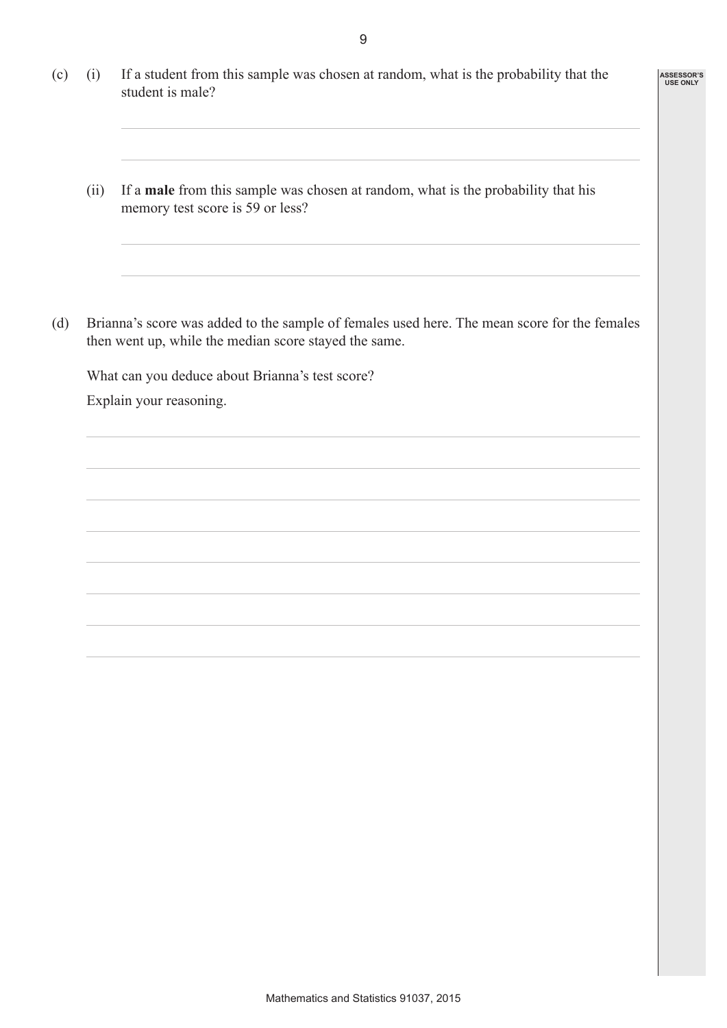9

**ASSESSOR'S USE ONLY**

- (c) (i) If a student from this sample was chosen at random, what is the probability that the student is male?
	- (ii) If a **male** from this sample was chosen at random, what is the probability that his memory test score is 59 or less?
- (d) Brianna's score was added to the sample of females used here. The mean score for the females then went up, while the median score stayed the same.

What can you deduce about Brianna's test score?

Explain your reasoning.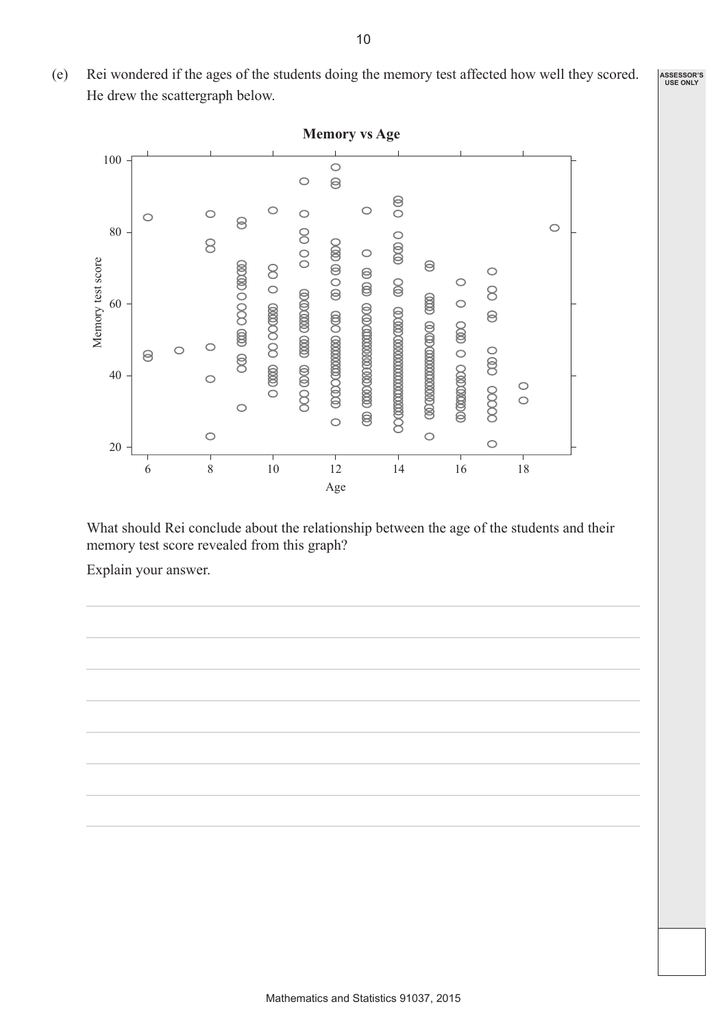(e) Rei wondered if the ages of the students doing the memory test affected how well they scored. He drew the scattergraph below. **ASSESSOR'S USE ONLY**



What should Rei conclude about the relationship between the age of the students and their memory test score revealed from this graph?

Explain your answer.

10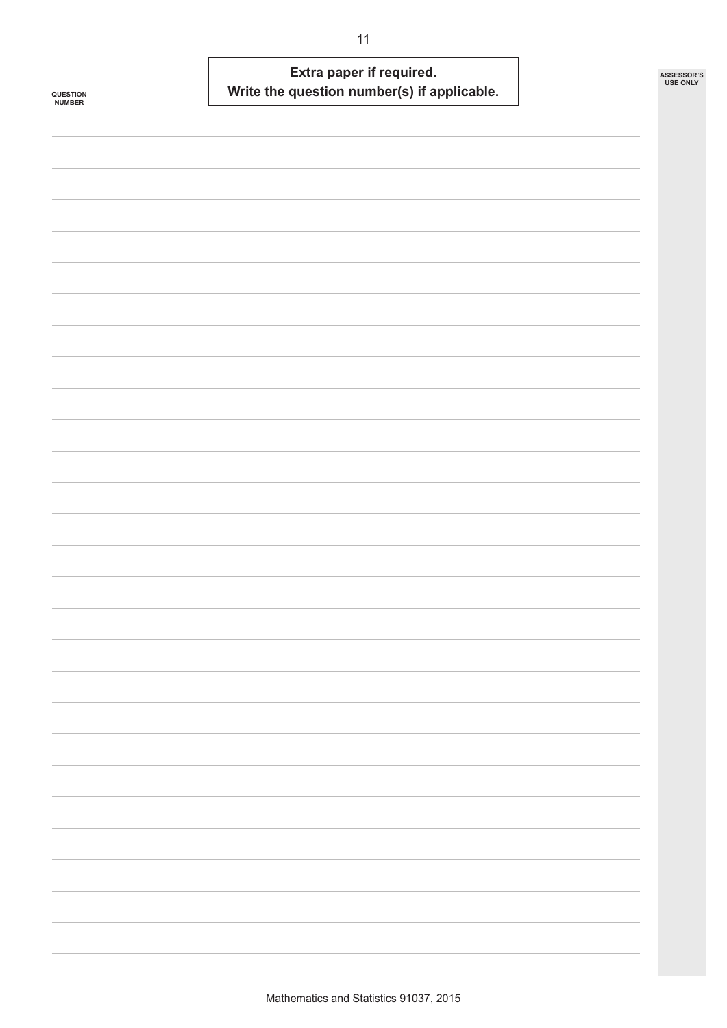| QUESTION<br><b>NUMBER</b> | Extra paper if required.<br>Write the question number(s) if applicable. | ASSESSOR'S<br><b>USE ONLY</b> |
|---------------------------|-------------------------------------------------------------------------|-------------------------------|
|                           |                                                                         |                               |
|                           |                                                                         |                               |
|                           |                                                                         |                               |
|                           |                                                                         |                               |
|                           |                                                                         |                               |
|                           |                                                                         |                               |
|                           |                                                                         |                               |
|                           |                                                                         |                               |
|                           |                                                                         |                               |
|                           |                                                                         |                               |
|                           |                                                                         |                               |
|                           |                                                                         |                               |
|                           |                                                                         |                               |
|                           |                                                                         |                               |
|                           |                                                                         |                               |
|                           |                                                                         |                               |
|                           |                                                                         |                               |
|                           |                                                                         |                               |